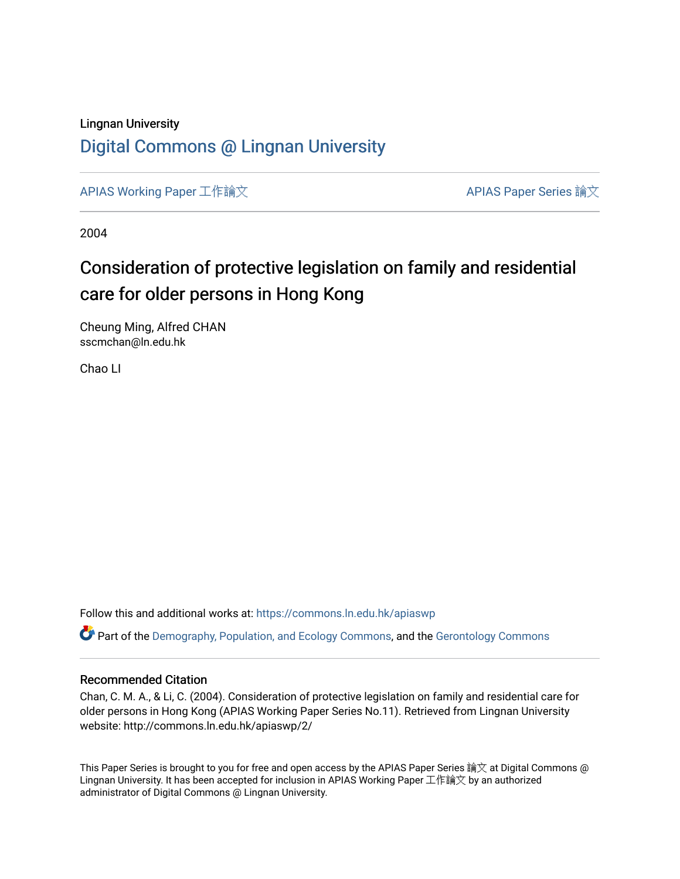## Lingnan University [Digital Commons @ Lingnan University](https://commons.ln.edu.hk/)

[APIAS Working Paper](https://commons.ln.edu.hk/apiaswp) 工作論文 [APIAS Paper Series](https://commons.ln.edu.hk/apias_paper_community) 論文

2004

# Consideration of protective legislation on family and residential care for older persons in Hong Kong

Cheung Ming, Alfred CHAN sscmchan@ln.edu.hk

Chao LI

Follow this and additional works at: [https://commons.ln.edu.hk/apiaswp](https://commons.ln.edu.hk/apiaswp?utm_source=commons.ln.edu.hk%2Fapiaswp%2F2&utm_medium=PDF&utm_campaign=PDFCoverPages)

Part of the [Demography, Population, and Ecology Commons,](http://network.bepress.com/hgg/discipline/418?utm_source=commons.ln.edu.hk%2Fapiaswp%2F2&utm_medium=PDF&utm_campaign=PDFCoverPages) and the [Gerontology Commons](http://network.bepress.com/hgg/discipline/1276?utm_source=commons.ln.edu.hk%2Fapiaswp%2F2&utm_medium=PDF&utm_campaign=PDFCoverPages)

#### Recommended Citation

Chan, C. M. A., & Li, C. (2004). Consideration of protective legislation on family and residential care for older persons in Hong Kong (APIAS Working Paper Series No.11). Retrieved from Lingnan University website: http://commons.ln.edu.hk/apiaswp/2/

This Paper Series is brought to you for free and open access by the APIAS Paper Series 論文 at Digital Commons @ Lingnan University. It has been accepted for inclusion in APIAS Working Paper 工作論文 by an authorized administrator of Digital Commons @ Lingnan University.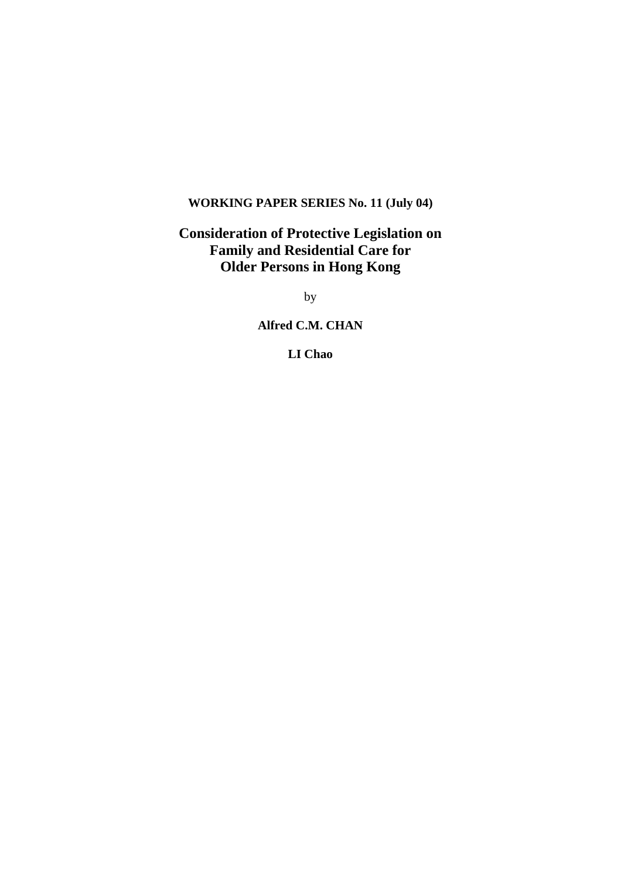### **WORKING PAPER SERIES No. 11 (July 04)**

### **Consideration of Protective Legislation on Family and Residential Care for Older Persons in Hong Kong**

by

**Alfred C.M. CHAN** 

**LI Chao**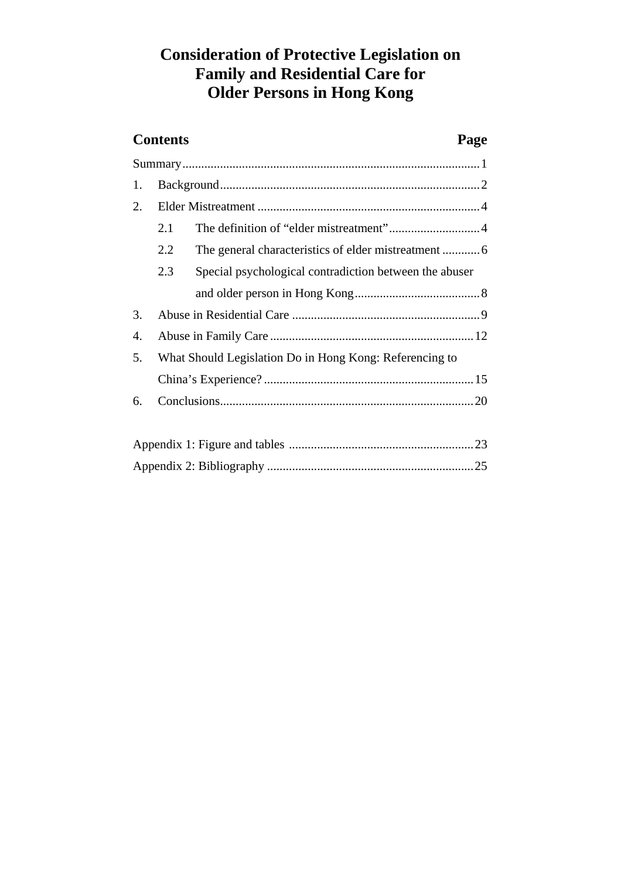## **Consideration of Protective Legislation on Family and Residential Care for Older Persons in Hong Kong**

# **Contents Page**  Summary...............................................................................................1 1. Background...................................................................................2 2. Elder Mistreatment .......................................................................4 2.1 The definition of "elder mistreatment".............................4 2.2 The general characteristics of elder mistreatment ............6 2.3 Special psychological contradiction between the abuser and older person in Hong Kong........................................8

| 5. What Should Legislation Do in Hong Kong: Referencing to |  |
|------------------------------------------------------------|--|
|                                                            |  |
|                                                            |  |
|                                                            |  |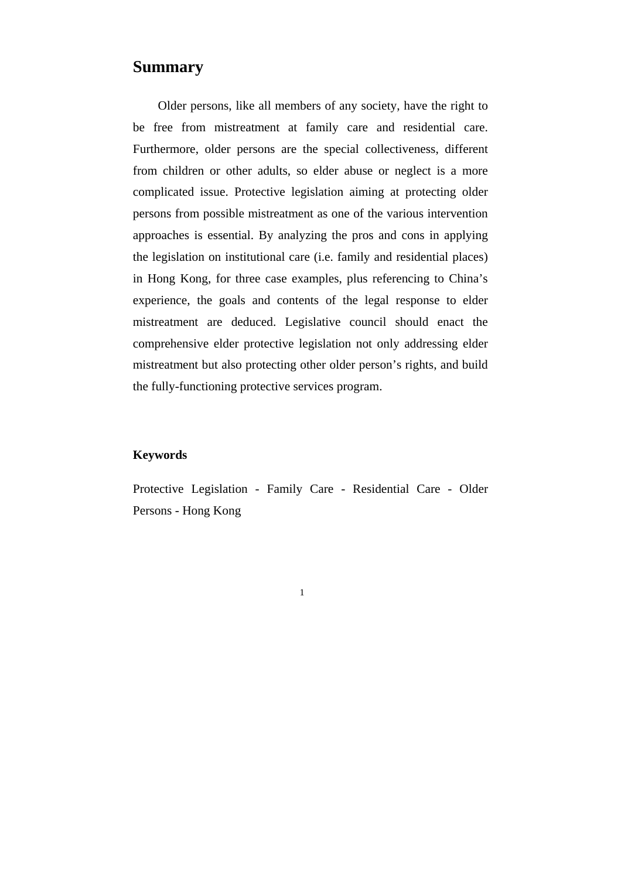#### **Summary**

Older persons, like all members of any society, have the right to be free from mistreatment at family care and residential care. Furthermore, older persons are the special collectiveness, different from children or other adults, so elder abuse or neglect is a more complicated issue. Protective legislation aiming at protecting older persons from possible mistreatment as one of the various intervention approaches is essential. By analyzing the pros and cons in applying the legislation on institutional care (i.e. family and residential places) in Hong Kong, for three case examples, plus referencing to China's experience, the goals and contents of the legal response to elder mistreatment are deduced. Legislative council should enact the comprehensive elder protective legislation not only addressing elder mistreatment but also protecting other older person's rights, and build the fully-functioning protective services program.

#### **Keywords**

1

Protective Legislation - Family Care - Residential Care - Older Persons - Hong Kong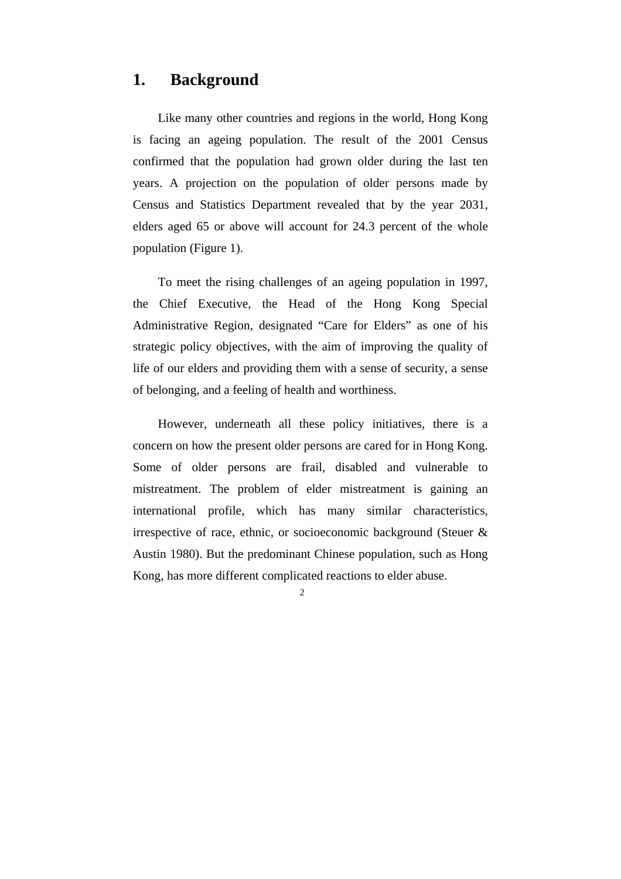### **1. Background**

Like many other countries and regions in the world, Hong Kong is facing an ageing population. The result of the 2001 Census confirmed that the population had grown older during the last ten years. A projection on the population of older persons made by Census and Statistics Department revealed that by the year 2031, elders aged 65 or above will account for 24.3 percent of the whole population (Figure 1).

To meet the rising challenges of an ageing population in 1997, the Chief Executive, the Head of the Hong Kong Special Administrative Region, designated "Care for Elders" as one of his strategic policy objectives, with the aim of improving the quality of life of our elders and providing them with a sense of security, a sense of belonging, and a feeling of health and worthiness.

However, underneath all these policy initiatives, there is a concern on how the present older persons are cared for in Hong Kong. Some of older persons are frail, disabled and vulnerable to mistreatment. The problem of elder mistreatment is gaining an international profile, which has many similar characteristics, irrespective of race, ethnic, or socioeconomic background (Steuer & Austin 1980). But the predominant Chinese population, such as Hong Kong, has more different complicated reactions to elder abuse.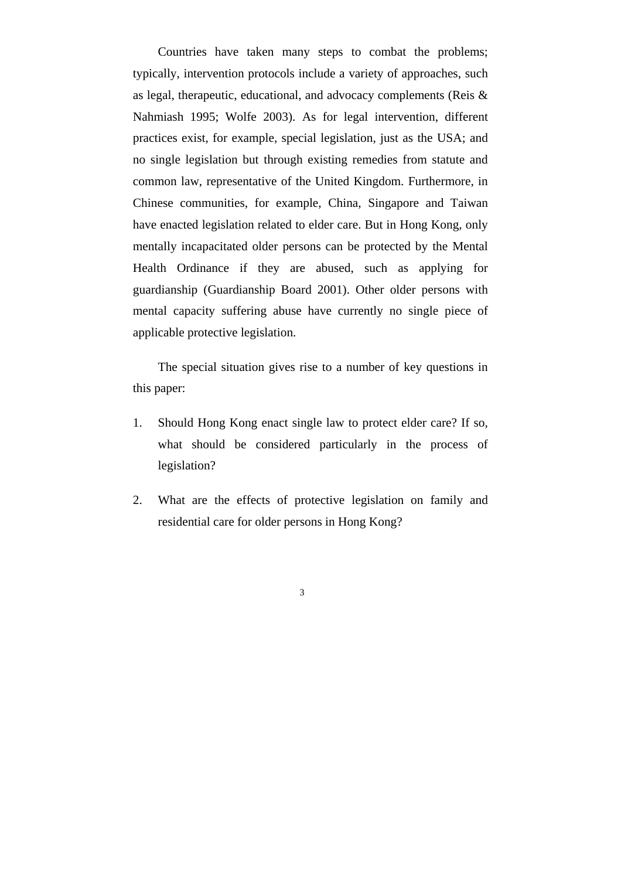Countries have taken many steps to combat the problems; typically, intervention protocols include a variety of approaches, such as legal, therapeutic, educational, and advocacy complements (Reis & Nahmiash 1995; Wolfe 2003). As for legal intervention, different practices exist, for example, special legislation, just as the USA; and no single legislation but through existing remedies from statute and common law, representative of the United Kingdom. Furthermore, in Chinese communities, for example, China, Singapore and Taiwan have enacted legislation related to elder care. But in Hong Kong, only mentally incapacitated older persons can be protected by the Mental Health Ordinance if they are abused, such as applying for guardianship (Guardianship Board 2001). Other older persons with mental capacity suffering abuse have currently no single piece of applicable protective legislation.

The special situation gives rise to a number of key questions in this paper:

- 1. Should Hong Kong enact single law to protect elder care? If so, what should be considered particularly in the process of legislation?
- 2. What are the effects of protective legislation on family and residential care for older persons in Hong Kong?
- 3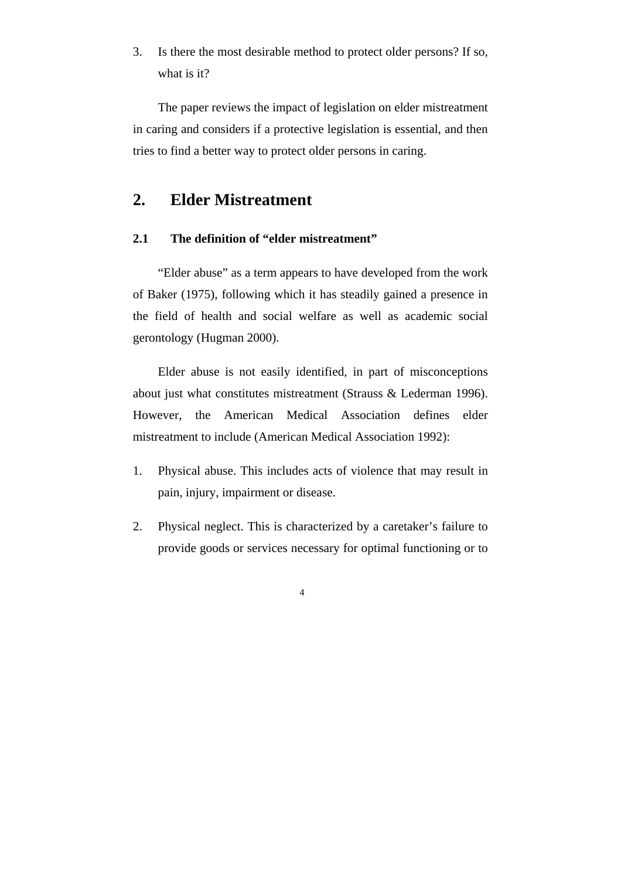3. Is there the most desirable method to protect older persons? If so, what is it?

The paper reviews the impact of legislation on elder mistreatment in caring and considers if a protective legislation is essential, and then tries to find a better way to protect older persons in caring.

### **2. Elder Mistreatment**

4

#### **2.1 The definition of "elder mistreatment"**

"Elder abuse" as a term appears to have developed from the work of Baker (1975), following which it has steadily gained a presence in the field of health and social welfare as well as academic social gerontology (Hugman 2000).

Elder abuse is not easily identified, in part of misconceptions about just what constitutes mistreatment (Strauss & Lederman 1996). However, the American Medical Association defines elder mistreatment to include (American Medical Association 1992):

- 1. Physical abuse. This includes acts of violence that may result in pain, injury, impairment or disease.
- 2. Physical neglect. This is characterized by a caretaker's failure to provide goods or services necessary for optimal functioning or to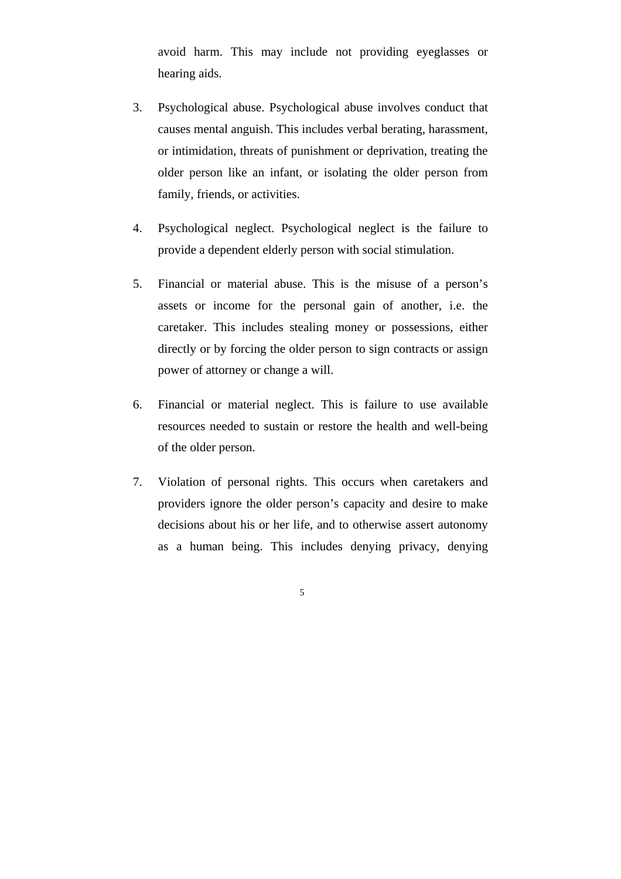avoid harm. This may include not providing eyeglasses or hearing aids.

- 3. Psychological abuse. Psychological abuse involves conduct that causes mental anguish. This includes verbal berating, harassment, or intimidation, threats of punishment or deprivation, treating the older person like an infant, or isolating the older person from family, friends, or activities.
- 4. Psychological neglect. Psychological neglect is the failure to provide a dependent elderly person with social stimulation.
- 5. Financial or material abuse. This is the misuse of a person's assets or income for the personal gain of another, i.e. the caretaker. This includes stealing money or possessions, either directly or by forcing the older person to sign contracts or assign power of attorney or change a will.
- 6. Financial or material neglect. This is failure to use available resources needed to sustain or restore the health and well-being of the older person.
- 7. Violation of personal rights. This occurs when caretakers and providers ignore the older person's capacity and desire to make decisions about his or her life, and to otherwise assert autonomy as a human being. This includes denying privacy, denying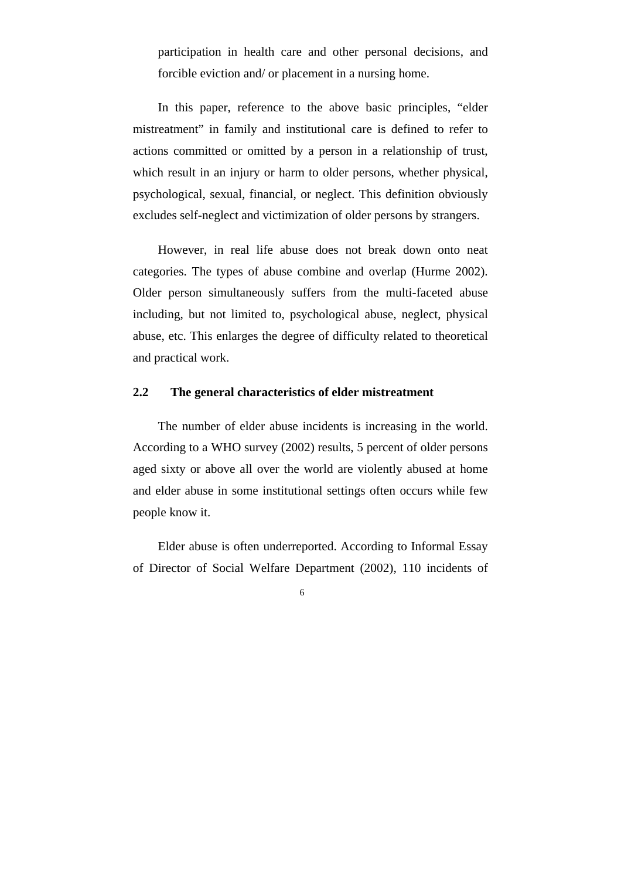participation in health care and other personal decisions, and forcible eviction and/ or placement in a nursing home.

In this paper, reference to the above basic principles, "elder mistreatment" in family and institutional care is defined to refer to actions committed or omitted by a person in a relationship of trust, which result in an injury or harm to older persons, whether physical, psychological, sexual, financial, or neglect. This definition obviously excludes self-neglect and victimization of older persons by strangers.

However, in real life abuse does not break down onto neat categories. The types of abuse combine and overlap (Hurme 2002). Older person simultaneously suffers from the multi-faceted abuse including, but not limited to, psychological abuse, neglect, physical abuse, etc. This enlarges the degree of difficulty related to theoretical and practical work.

#### **2.2 The general characteristics of elder mistreatment**

The number of elder abuse incidents is increasing in the world. According to a WHO survey (2002) results, 5 percent of older persons aged sixty or above all over the world are violently abused at home and elder abuse in some institutional settings often occurs while few people know it.

Elder abuse is often underreported. According to Informal Essay of Director of Social Welfare Department (2002), 110 incidents of

 $\overline{6}$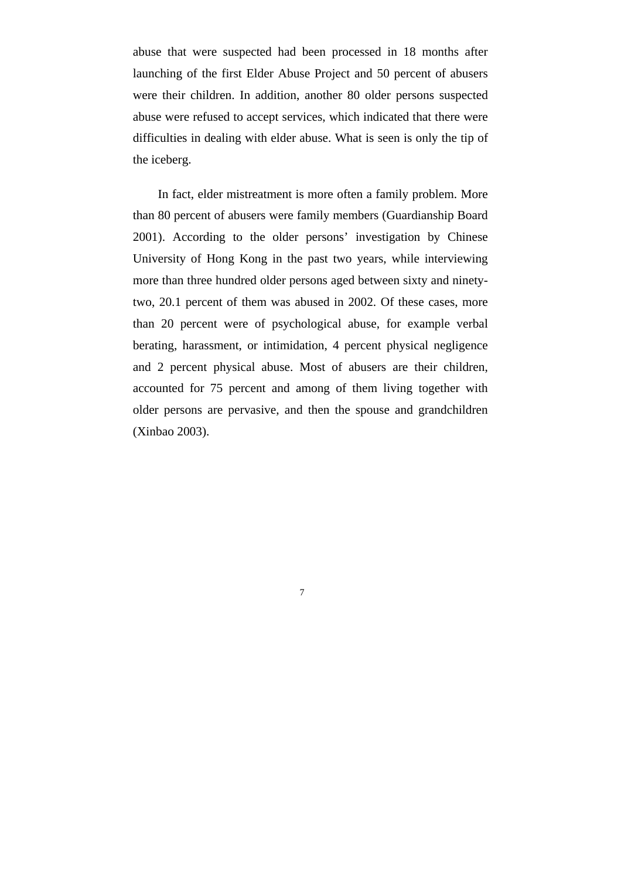abuse that were suspected had been processed in 18 months after launching of the first Elder Abuse Project and 50 percent of abusers were their children. In addition, another 80 older persons suspected abuse were refused to accept services, which indicated that there were difficulties in dealing with elder abuse. What is seen is only the tip of the iceberg.

In fact, elder mistreatment is more often a family problem. More than 80 percent of abusers were family members (Guardianship Board 2001). According to the older persons' investigation by Chinese University of Hong Kong in the past two years, while interviewing more than three hundred older persons aged between sixty and ninetytwo, 20.1 percent of them was abused in 2002. Of these cases, more than 20 percent were of psychological abuse, for example verbal berating, harassment, or intimidation, 4 percent physical negligence and 2 percent physical abuse. Most of abusers are their children, accounted for 75 percent and among of them living together with older persons are pervasive, and then the spouse and grandchildren (Xinbao 2003).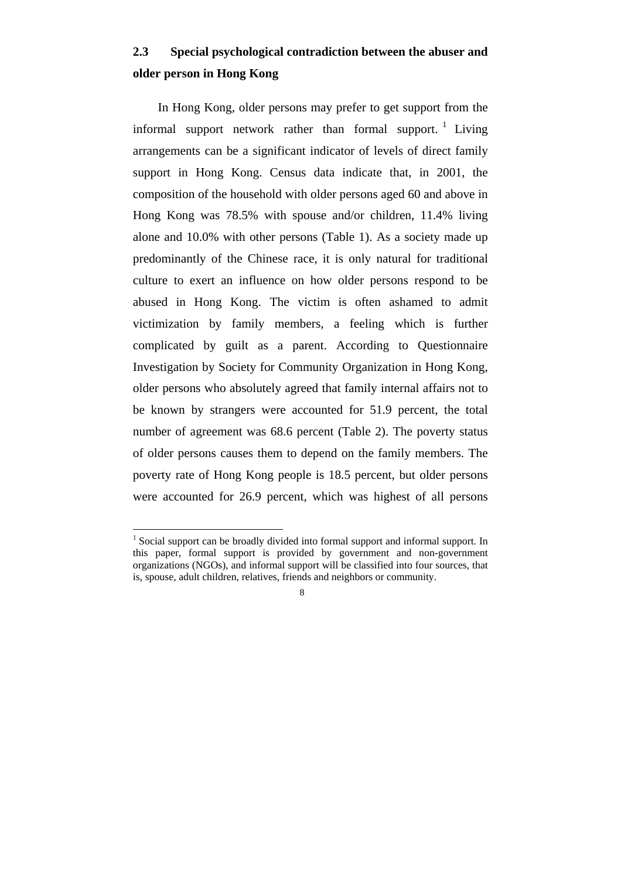### **2.3 Special psychological contradiction between the abuser and older person in Hong Kong**

In Hong Kong, older persons may prefer to get support from the informal support network rather than formal support.  $\frac{1}{1}$  Living arrangements can be a significant indicator of levels of direct family support in Hong Kong. Census data indicate that, in 2001, the composition of the household with older persons aged 60 and above in Hong Kong was 78.5% with spouse and/or children, 11.4% living alone and 10.0% with other persons (Table 1). As a society made up predominantly of the Chinese race, it is only natural for traditional culture to exert an influence on how older persons respond to be abused in Hong Kong. The victim is often ashamed to admit victimization by family members, a feeling which is further complicated by guilt as a parent. According to Questionnaire Investigation by Society for Community Organization in Hong Kong, older persons who absolutely agreed that family internal affairs not to be known by strangers were accounted for 51.9 percent, the total number of agreement was 68.6 percent (Table 2). The poverty status of older persons causes them to depend on the family members. The poverty rate of Hong Kong people is 18.5 percent, but older persons were accounted for 26.9 percent, which was highest of all persons

8

 $<sup>1</sup>$  Social support can be broadly divided into formal support and informal support. In</sup> this paper, formal support is provided by government and non-government organizations (NGOs), and informal support will be classified into four sources, that is, spouse, adult children, relatives, friends and neighbors or community.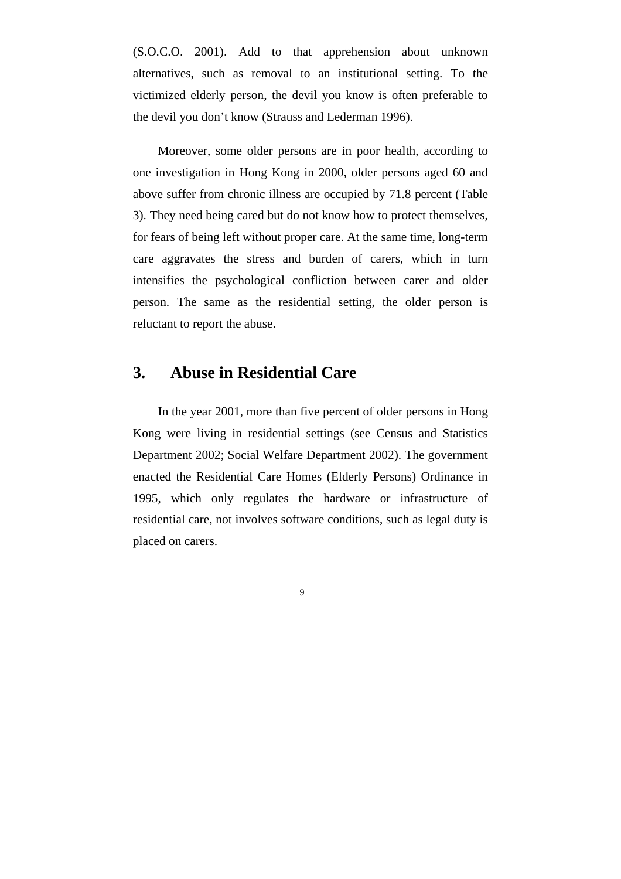(S.O.C.O. 2001). Add to that apprehension about unknown alternatives, such as removal to an institutional setting. To the victimized elderly person, the devil you know is often preferable to the devil you don't know (Strauss and Lederman 1996).

Moreover, some older persons are in poor health, according to one investigation in Hong Kong in 2000, older persons aged 60 and above suffer from chronic illness are occupied by 71.8 percent (Table 3). They need being cared but do not know how to protect themselves, for fears of being left without proper care. At the same time, long-term care aggravates the stress and burden of carers, which in turn intensifies the psychological confliction between carer and older person. The same as the residential setting, the older person is reluctant to report the abuse.

### **3. Abuse in Residential Care**

In the year 2001, more than five percent of older persons in Hong Kong were living in residential settings (see Census and Statistics Department 2002; Social Welfare Department 2002). The government enacted the Residential Care Homes (Elderly Persons) Ordinance in 1995, which only regulates the hardware or infrastructure of residential care, not involves software conditions, such as legal duty is placed on carers.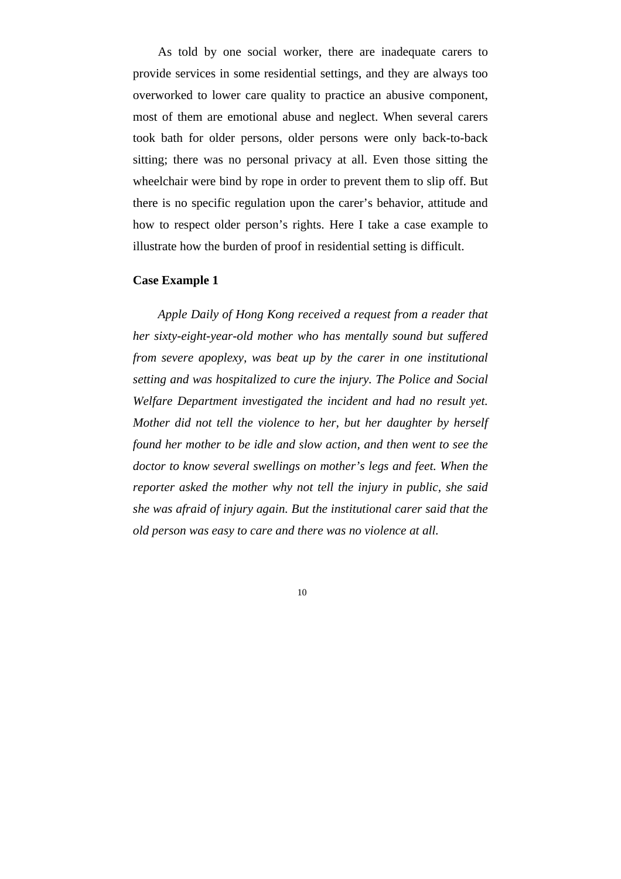As told by one social worker, there are inadequate carers to provide services in some residential settings, and they are always too overworked to lower care quality to practice an abusive component, most of them are emotional abuse and neglect. When several carers took bath for older persons, older persons were only back-to-back sitting; there was no personal privacy at all. Even those sitting the wheelchair were bind by rope in order to prevent them to slip off. But there is no specific regulation upon the carer's behavior, attitude and how to respect older person's rights. Here I take a case example to illustrate how the burden of proof in residential setting is difficult.

#### **Case Example 1**

*Apple Daily of Hong Kong received a request from a reader that her sixty-eight-year-old mother who has mentally sound but suffered from severe apoplexy, was beat up by the carer in one institutional setting and was hospitalized to cure the injury. The Police and Social Welfare Department investigated the incident and had no result yet. Mother did not tell the violence to her, but her daughter by herself found her mother to be idle and slow action, and then went to see the doctor to know several swellings on mother's legs and feet. When the reporter asked the mother why not tell the injury in public, she said she was afraid of injury again. But the institutional carer said that the old person was easy to care and there was no violence at all.*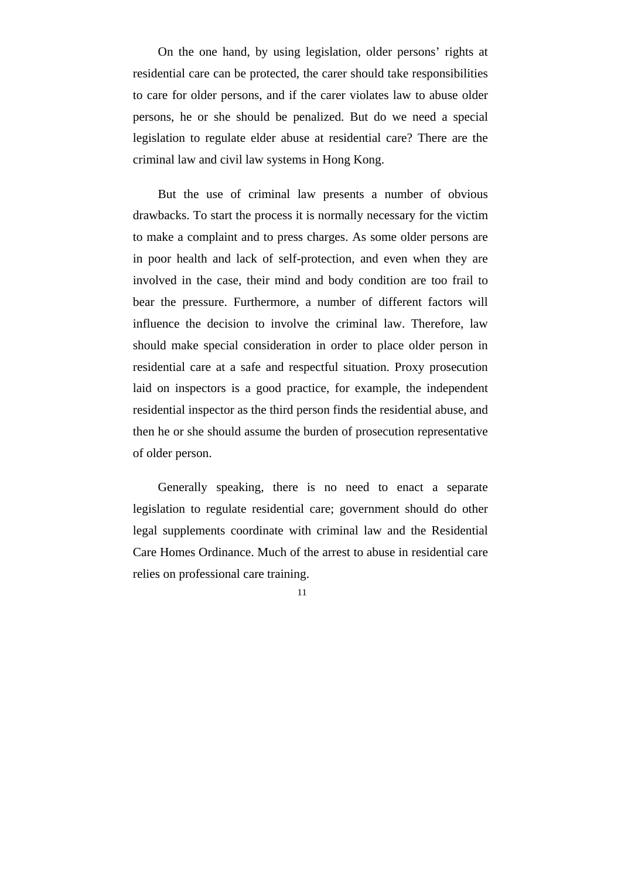On the one hand, by using legislation, older persons' rights at residential care can be protected, the carer should take responsibilities to care for older persons, and if the carer violates law to abuse older persons, he or she should be penalized. But do we need a special legislation to regulate elder abuse at residential care? There are the criminal law and civil law systems in Hong Kong.

But the use of criminal law presents a number of obvious drawbacks. To start the process it is normally necessary for the victim to make a complaint and to press charges. As some older persons are in poor health and lack of self-protection, and even when they are involved in the case, their mind and body condition are too frail to bear the pressure. Furthermore, a number of different factors will influence the decision to involve the criminal law. Therefore, law should make special consideration in order to place older person in residential care at a safe and respectful situation. Proxy prosecution laid on inspectors is a good practice, for example, the independent residential inspector as the third person finds the residential abuse, and then he or she should assume the burden of prosecution representative of older person.

Generally speaking, there is no need to enact a separate legislation to regulate residential care; government should do other legal supplements coordinate with criminal law and the Residential Care Homes Ordinance. Much of the arrest to abuse in residential care relies on professional care training.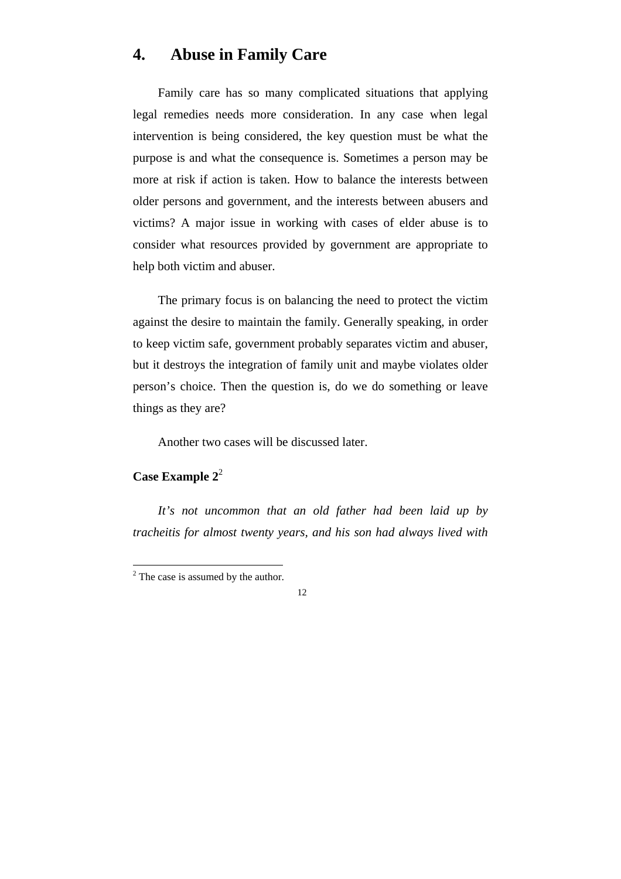### **4. Abuse in Family Care**

Family care has so many complicated situations that applying legal remedies needs more consideration. In any case when legal intervention is being considered, the key question must be what the purpose is and what the consequence is. Sometimes a person may be more at risk if action is taken. How to balance the interests between older persons and government, and the interests between abusers and victims? A major issue in working with cases of elder abuse is to consider what resources provided by government are appropriate to help both victim and abuser.

The primary focus is on balancing the need to protect the victim against the desire to maintain the family. Generally speaking, in order to keep victim safe, government probably separates victim and abuser, but it destroys the integration of family unit and maybe violates older person's choice. Then the question is, do we do something or leave things as they are?

Another two cases will be discussed later.

#### **Case Example 2**<sup>2</sup>

 $\overline{a}$ 

*It's not uncommon that an old father had been laid up by tracheitis for almost twenty years, and his son had always lived with* 

 $2^2$  The case is assumed by the author.

 <sup>12</sup>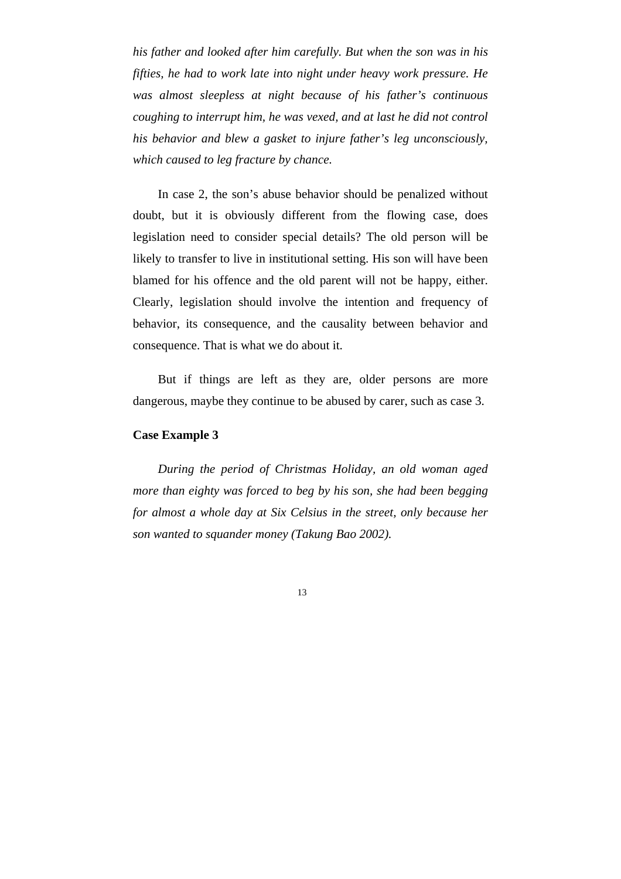*his father and looked after him carefully. But when the son was in his fifties, he had to work late into night under heavy work pressure. He was almost sleepless at night because of his father's continuous coughing to interrupt him, he was vexed, and at last he did not control his behavior and blew a gasket to injure father's leg unconsciously, which caused to leg fracture by chance.* 

In case 2, the son's abuse behavior should be penalized without doubt, but it is obviously different from the flowing case, does legislation need to consider special details? The old person will be likely to transfer to live in institutional setting. His son will have been blamed for his offence and the old parent will not be happy, either. Clearly, legislation should involve the intention and frequency of behavior, its consequence, and the causality between behavior and consequence. That is what we do about it.

But if things are left as they are, older persons are more dangerous, maybe they continue to be abused by carer, such as case 3.

#### **Case Example 3**

*During the period of Christmas Holiday, an old woman aged more than eighty was forced to beg by his son, she had been begging for almost a whole day at Six Celsius in the street, only because her son wanted to squander money (Takung Bao 2002).*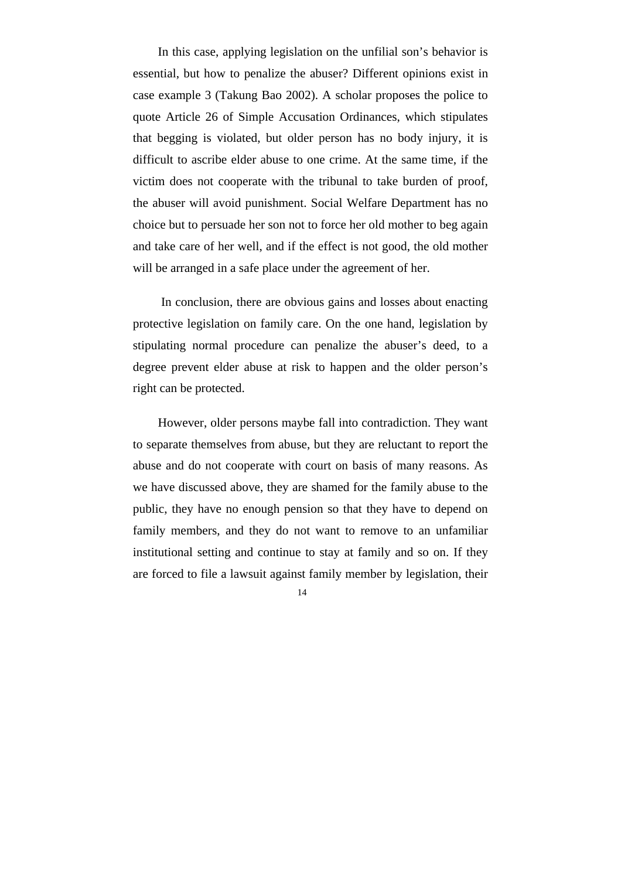In this case, applying legislation on the unfilial son's behavior is essential, but how to penalize the abuser? Different opinions exist in case example 3 (Takung Bao 2002). A scholar proposes the police to quote Article 26 of Simple Accusation Ordinances, which stipulates that begging is violated, but older person has no body injury, it is difficult to ascribe elder abuse to one crime. At the same time, if the victim does not cooperate with the tribunal to take burden of proof, the abuser will avoid punishment. Social Welfare Department has no choice but to persuade her son not to force her old mother to beg again and take care of her well, and if the effect is not good, the old mother will be arranged in a safe place under the agreement of her.

 In conclusion, there are obvious gains and losses about enacting protective legislation on family care. On the one hand, legislation by stipulating normal procedure can penalize the abuser's deed, to a degree prevent elder abuse at risk to happen and the older person's right can be protected.

However, older persons maybe fall into contradiction. They want to separate themselves from abuse, but they are reluctant to report the abuse and do not cooperate with court on basis of many reasons. As we have discussed above, they are shamed for the family abuse to the public, they have no enough pension so that they have to depend on family members, and they do not want to remove to an unfamiliar institutional setting and continue to stay at family and so on. If they are forced to file a lawsuit against family member by legislation, their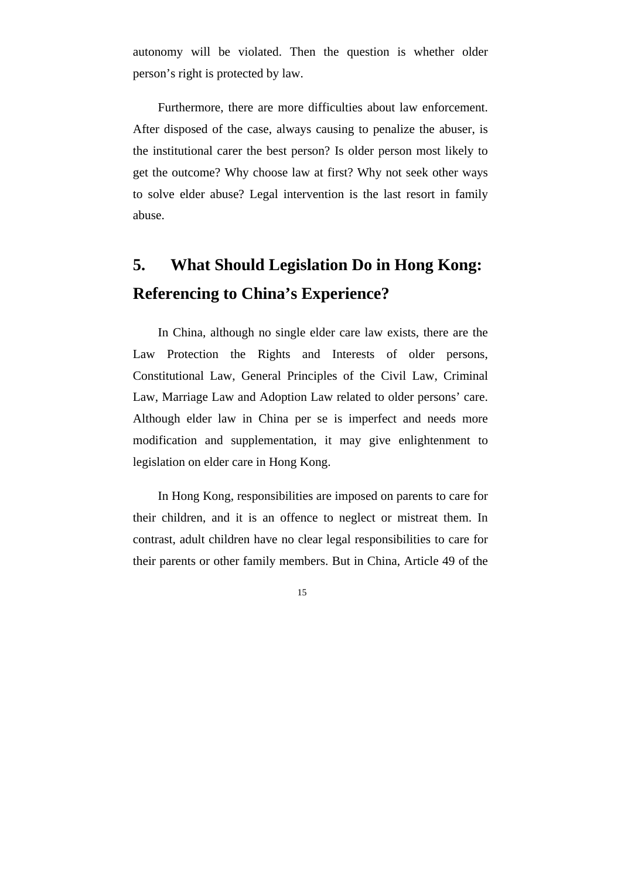autonomy will be violated. Then the question is whether older person's right is protected by law.

Furthermore, there are more difficulties about law enforcement. After disposed of the case, always causing to penalize the abuser, is the institutional carer the best person? Is older person most likely to get the outcome? Why choose law at first? Why not seek other ways to solve elder abuse? Legal intervention is the last resort in family abuse.

# **5. What Should Legislation Do in Hong Kong: Referencing to China's Experience?**

In China, although no single elder care law exists, there are the Law Protection the Rights and Interests of older persons, Constitutional Law, General Principles of the Civil Law, Criminal Law, Marriage Law and Adoption Law related to older persons' care. Although elder law in China per se is imperfect and needs more modification and supplementation, it may give enlightenment to legislation on elder care in Hong Kong.

In Hong Kong, responsibilities are imposed on parents to care for their children, and it is an offence to neglect or mistreat them. In contrast, adult children have no clear legal responsibilities to care for their parents or other family members. But in China, Article 49 of the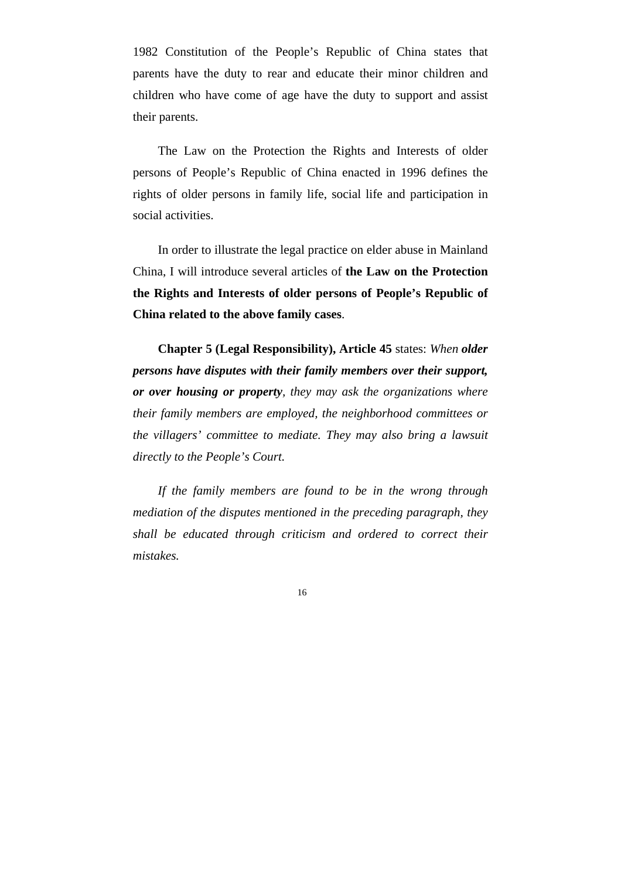1982 Constitution of the People's Republic of China states that parents have the duty to rear and educate their minor children and children who have come of age have the duty to support and assist their parents.

The Law on the Protection the Rights and Interests of older persons of People's Republic of China enacted in 1996 defines the rights of older persons in family life, social life and participation in social activities.

In order to illustrate the legal practice on elder abuse in Mainland China, I will introduce several articles of **the Law on the Protection the Rights and Interests of older persons of People's Republic of China related to the above family cases**.

**Chapter 5 (Legal Responsibility), Article 45** states: *When older persons have disputes with their family members over their support, or over housing or property, they may ask the organizations where their family members are employed, the neighborhood committees or the villagers' committee to mediate. They may also bring a lawsuit directly to the People's Court.* 

*If the family members are found to be in the wrong through mediation of the disputes mentioned in the preceding paragraph, they shall be educated through criticism and ordered to correct their mistakes.*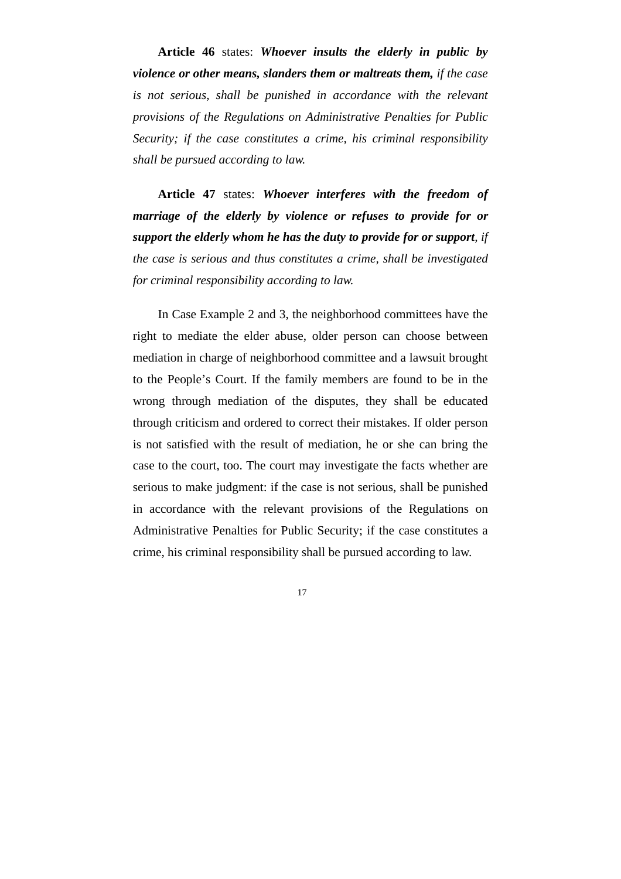**Article 46** states: *Whoever insults the elderly in public by violence or other means, slanders them or maltreats them, if the case is not serious, shall be punished in accordance with the relevant provisions of the Regulations on Administrative Penalties for Public Security; if the case constitutes a crime, his criminal responsibility shall be pursued according to law.* 

**Article 47** states: *Whoever interferes with the freedom of marriage of the elderly by violence or refuses to provide for or support the elderly whom he has the duty to provide for or support, if the case is serious and thus constitutes a crime, shall be investigated for criminal responsibility according to law.* 

In Case Example 2 and 3, the neighborhood committees have the right to mediate the elder abuse, older person can choose between mediation in charge of neighborhood committee and a lawsuit brought to the People's Court. If the family members are found to be in the wrong through mediation of the disputes, they shall be educated through criticism and ordered to correct their mistakes. If older person is not satisfied with the result of mediation, he or she can bring the case to the court, too. The court may investigate the facts whether are serious to make judgment: if the case is not serious, shall be punished in accordance with the relevant provisions of the Regulations on Administrative Penalties for Public Security; if the case constitutes a crime, his criminal responsibility shall be pursued according to law.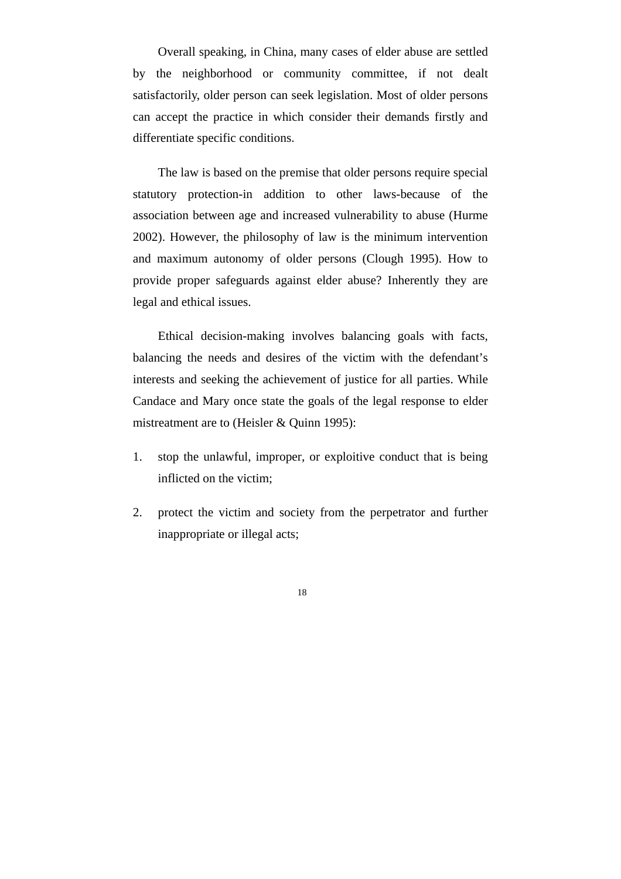Overall speaking, in China, many cases of elder abuse are settled by the neighborhood or community committee, if not dealt satisfactorily, older person can seek legislation. Most of older persons can accept the practice in which consider their demands firstly and differentiate specific conditions.

The law is based on the premise that older persons require special statutory protection-in addition to other laws-because of the association between age and increased vulnerability to abuse (Hurme 2002). However, the philosophy of law is the minimum intervention and maximum autonomy of older persons (Clough 1995). How to provide proper safeguards against elder abuse? Inherently they are legal and ethical issues.

Ethical decision-making involves balancing goals with facts, balancing the needs and desires of the victim with the defendant's interests and seeking the achievement of justice for all parties. While Candace and Mary once state the goals of the legal response to elder mistreatment are to (Heisler & Quinn 1995):

- 1. stop the unlawful, improper, or exploitive conduct that is being inflicted on the victim;
- 2. protect the victim and society from the perpetrator and further inappropriate or illegal acts;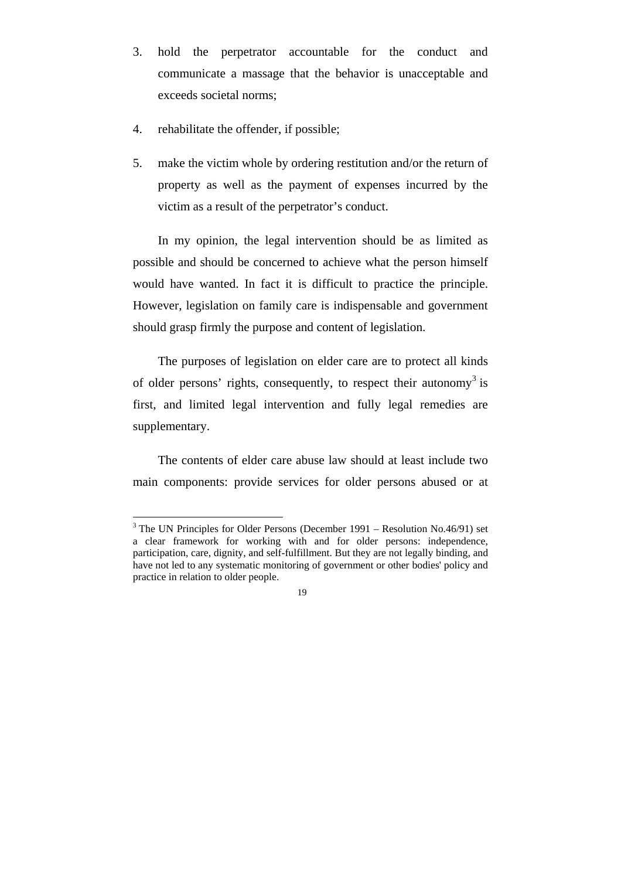- 3. hold the perpetrator accountable for the conduct and communicate a massage that the behavior is unacceptable and exceeds societal norms;
- 4. rehabilitate the offender, if possible;

 $\overline{a}$ 

5. make the victim whole by ordering restitution and/or the return of property as well as the payment of expenses incurred by the victim as a result of the perpetrator's conduct.

In my opinion, the legal intervention should be as limited as possible and should be concerned to achieve what the person himself would have wanted. In fact it is difficult to practice the principle. However, legislation on family care is indispensable and government should grasp firmly the purpose and content of legislation.

The purposes of legislation on elder care are to protect all kinds of older persons' rights, consequently, to respect their autonomy<sup>3</sup> is first, and limited legal intervention and fully legal remedies are supplementary.

The contents of elder care abuse law should at least include two main components: provide services for older persons abused or at

 $3$  The UN Principles for Older Persons (December 1991 – Resolution No.46/91) set a clear framework for working with and for older persons: independence, participation, care, dignity, and self-fulfillment. But they are not legally binding, and have not led to any systematic monitoring of government or other bodies' policy and practice in relation to older people.

 <sup>19</sup>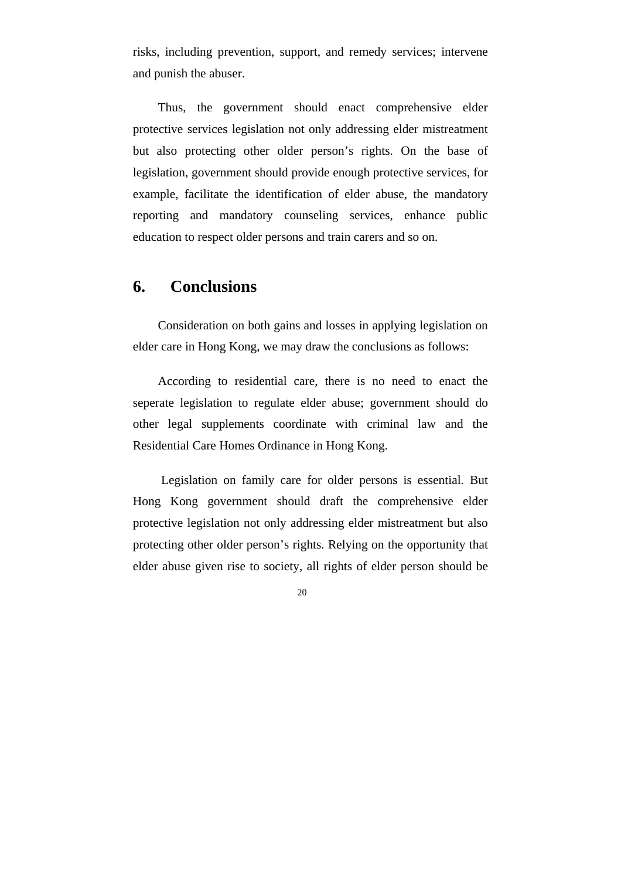risks, including prevention, support, and remedy services; intervene and punish the abuser.

Thus, the government should enact comprehensive elder protective services legislation not only addressing elder mistreatment but also protecting other older person's rights. On the base of legislation, government should provide enough protective services, for example, facilitate the identification of elder abuse, the mandatory reporting and mandatory counseling services, enhance public education to respect older persons and train carers and so on.

### **6. Conclusions**

Consideration on both gains and losses in applying legislation on elder care in Hong Kong, we may draw the conclusions as follows:

According to residential care, there is no need to enact the seperate legislation to regulate elder abuse; government should do other legal supplements coordinate with criminal law and the Residential Care Homes Ordinance in Hong Kong.

 Legislation on family care for older persons is essential. But Hong Kong government should draft the comprehensive elder protective legislation not only addressing elder mistreatment but also protecting other older person's rights. Relying on the opportunity that elder abuse given rise to society, all rights of elder person should be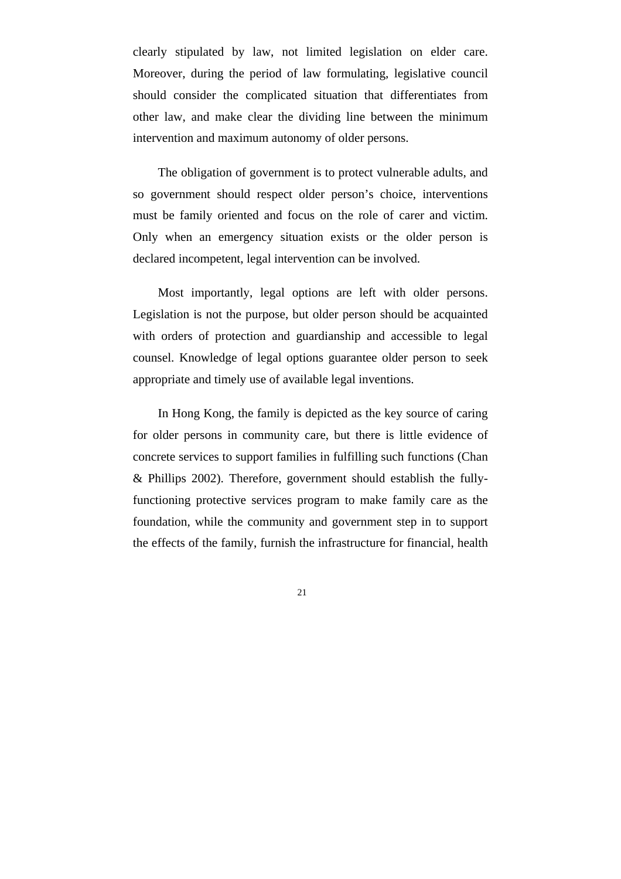clearly stipulated by law, not limited legislation on elder care. Moreover, during the period of law formulating, legislative council should consider the complicated situation that differentiates from other law, and make clear the dividing line between the minimum intervention and maximum autonomy of older persons.

The obligation of government is to protect vulnerable adults, and so government should respect older person's choice, interventions must be family oriented and focus on the role of carer and victim. Only when an emergency situation exists or the older person is declared incompetent, legal intervention can be involved.

Most importantly, legal options are left with older persons. Legislation is not the purpose, but older person should be acquainted with orders of protection and guardianship and accessible to legal counsel. Knowledge of legal options guarantee older person to seek appropriate and timely use of available legal inventions.

In Hong Kong, the family is depicted as the key source of caring for older persons in community care, but there is little evidence of concrete services to support families in fulfilling such functions (Chan & Phillips 2002). Therefore, government should establish the fullyfunctioning protective services program to make family care as the foundation, while the community and government step in to support the effects of the family, furnish the infrastructure for financial, health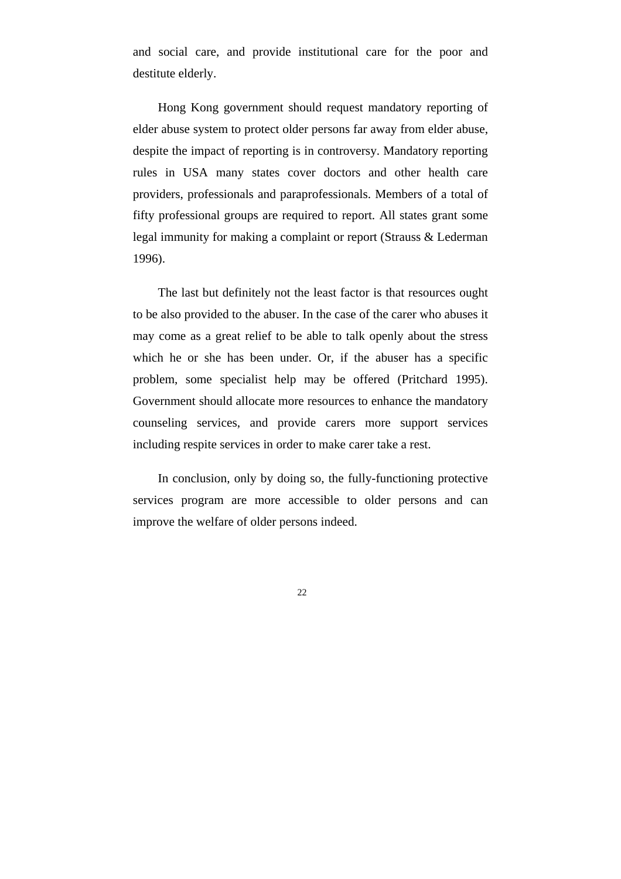and social care, and provide institutional care for the poor and destitute elderly.

Hong Kong government should request mandatory reporting of elder abuse system to protect older persons far away from elder abuse, despite the impact of reporting is in controversy. Mandatory reporting rules in USA many states cover doctors and other health care providers, professionals and paraprofessionals. Members of a total of fifty professional groups are required to report. All states grant some legal immunity for making a complaint or report (Strauss & Lederman 1996).

The last but definitely not the least factor is that resources ought to be also provided to the abuser. In the case of the carer who abuses it may come as a great relief to be able to talk openly about the stress which he or she has been under. Or, if the abuser has a specific problem, some specialist help may be offered (Pritchard 1995). Government should allocate more resources to enhance the mandatory counseling services, and provide carers more support services including respite services in order to make carer take a rest.

In conclusion, only by doing so, the fully-functioning protective services program are more accessible to older persons and can improve the welfare of older persons indeed.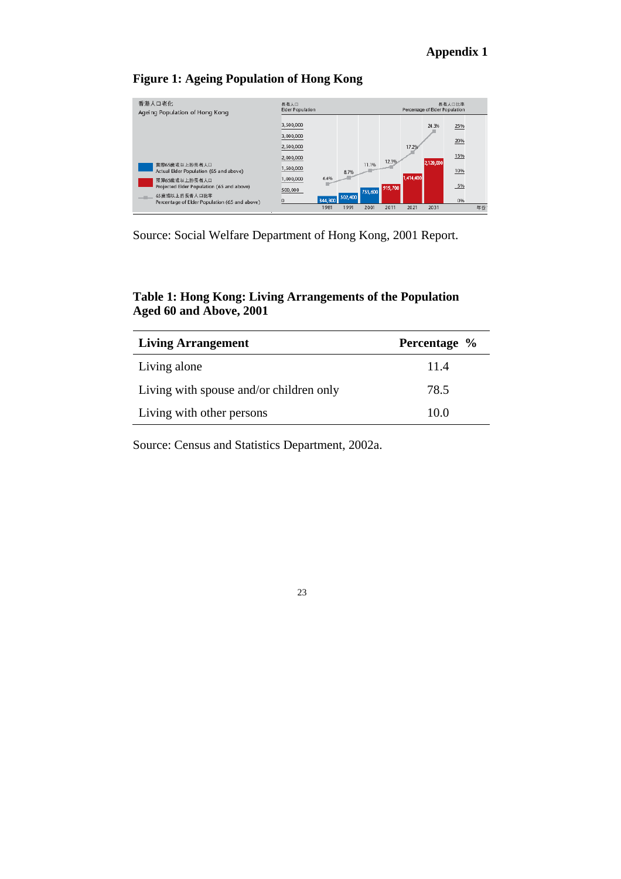#### **Appendix 1**

#### **Figure 1: Ageing Population of Hong Kong**

| 香港人口老化<br>Ageing Population of Hong Kong                                                                                        | 長者人口<br>Elder Population            |                         |      |         | 長者人口比率<br>Percentage of Elder Population |           |           |            |    |
|---------------------------------------------------------------------------------------------------------------------------------|-------------------------------------|-------------------------|------|---------|------------------------------------------|-----------|-----------|------------|----|
|                                                                                                                                 | 3,500,000<br>3,000,000<br>2,500,000 |                         |      |         |                                          | 17.2%     | 24.3%     | 25%<br>20% |    |
| 實際65歳或以上的長者人口<br>Actual Elder Population (65 and above)                                                                         | 2,000,000<br>1,500,000              |                         | 8.7% | 11.1%   | 12.3%                                    |           | 2,120,000 | 15%<br>10% |    |
| 预算65歳或以上的長者人口<br>Projected Elder Population (65 and above)<br>__ 65歳或以上的長者人口比率<br>Percentage of Elder Population (65 and above) | 1,000,000<br>500,000                | 6.6%<br>344,300 502,400 |      | 753,600 | 919,700                                  | 1,414,400 |           | 5%<br>0%   |    |
|                                                                                                                                 |                                     | 1981                    | 1991 | 2001    | 2011                                     | 2021      | 2031      |            | 年份 |

Source: Social Welfare Department of Hong Kong, 2001 Report.

#### **Table 1: Hong Kong: Living Arrangements of the Population Aged 60 and Above, 2001**

| <b>Living Arrangement</b>               | Percentage % |
|-----------------------------------------|--------------|
| Living alone                            | 11.4         |
| Living with spouse and/or children only | 78.5         |
| Living with other persons               | 10.0         |

Source: Census and Statistics Department, 2002a.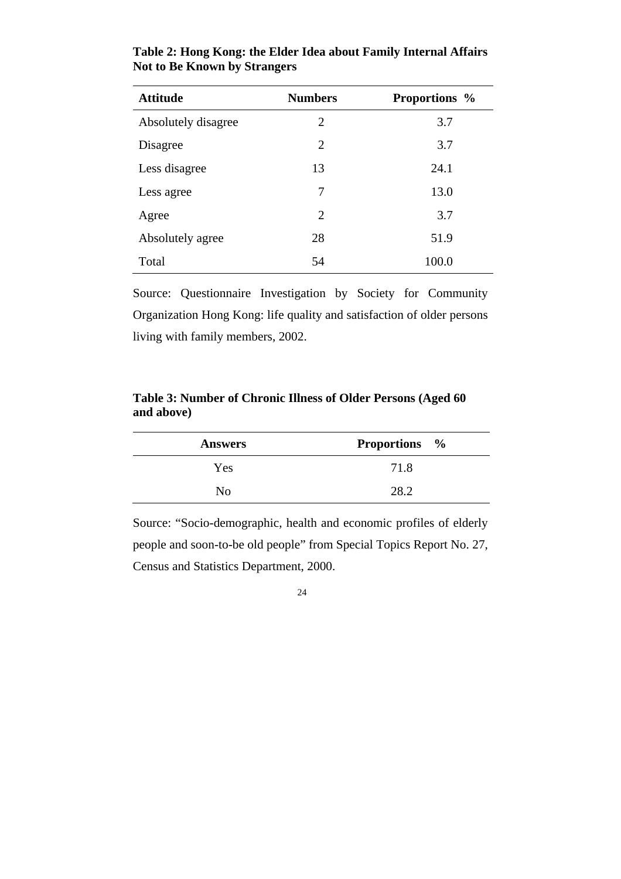| <b>Attitude</b>     | <b>Numbers</b> | <b>Proportions</b> % |
|---------------------|----------------|----------------------|
| Absolutely disagree | 2              | 3.7                  |
| Disagree            | $\overline{2}$ | 3.7                  |
| Less disagree       | 13             | 24.1                 |
| Less agree          | 7              | 13.0                 |
| Agree               | 2              | 3.7                  |
| Absolutely agree    | 28             | 51.9                 |
| Total               | 54             | 100.0                |

#### **Table 2: Hong Kong: the Elder Idea about Family Internal Affairs Not to Be Known by Strangers**

Source: Questionnaire Investigation by Society for Community Organization Hong Kong: life quality and satisfaction of older persons living with family members, 2002.

**Table 3: Number of Chronic Illness of Older Persons (Aged 60 and above)** 

| <b>Answers</b> | <b>Proportions</b> % |
|----------------|----------------------|
| Yes.           | 71.8                 |
| Nο             | 282                  |

Source: "Socio-demographic, health and economic profiles of elderly people and soon-to-be old people" from Special Topics Report No. 27, Census and Statistics Department, 2000.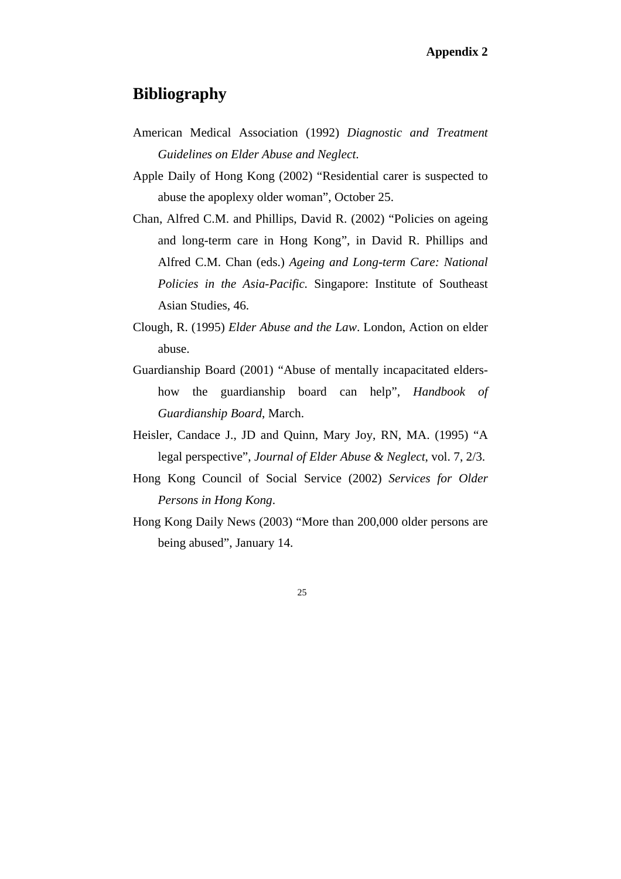### **Bibliography**

- American Medical Association (1992) *Diagnostic and Treatment Guidelines on Elder Abuse and Neglect*.
- Apple Daily of Hong Kong (2002) "Residential carer is suspected to abuse the apoplexy older woman", October 25.
- Chan, Alfred C.M. and Phillips, David R. (2002) "Policies on ageing and long-term care in Hong Kong", in David R. Phillips and Alfred C.M. Chan (eds.) *Ageing and Long-term Care: National Policies in the Asia-Pacific.* Singapore: Institute of Southeast Asian Studies, 46.
- Clough, R. (1995) *Elder Abuse and the Law*. London, Action on elder abuse.
- Guardianship Board (2001) "Abuse of mentally incapacitated eldershow the guardianship board can help", *Handbook of Guardianship Board*, March.
- Heisler, Candace J., JD and Quinn, Mary Joy, RN, MA. (1995) "A legal perspective", *Journal of Elder Abuse & Neglect*, vol. 7, 2/3.
- Hong Kong Council of Social Service (2002) *Services for Older Persons in Hong Kong*.
- Hong Kong Daily News (2003) "More than 200,000 older persons are being abused", January 14.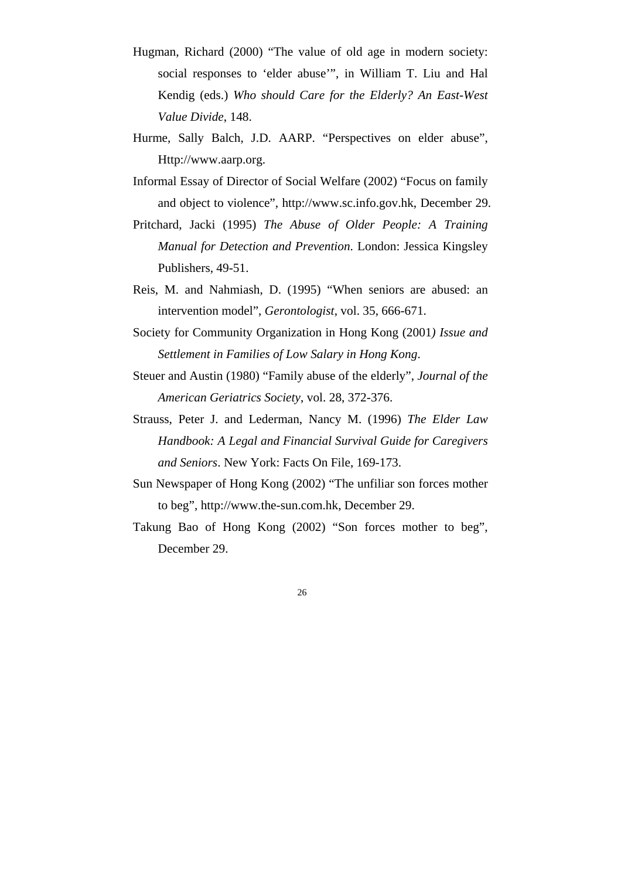- Hugman, Richard (2000) "The value of old age in modern society: social responses to 'elder abuse'", in William T. Liu and Hal Kendig (eds.) *Who should Care for the Elderly? An East-West Value Divide*, 148.
- Hurme, Sally Balch, J.D. AARP. "Perspectives on elder abuse", Http://www.aarp.org.
- Informal Essay of Director of Social Welfare (2002) "Focus on family and object to violence", http://www.sc.info.gov.hk, December 29.
- Pritchard, Jacki (1995) *The Abuse of Older People: A Training Manual for Detection and Prevention*. London: Jessica Kingsley Publishers, 49-51.
- Reis, M. and Nahmiash, D. (1995) "When seniors are abused: an intervention model", *Gerontologist*, vol. 35, 666-671.
- Society for Community Organization in Hong Kong (2001*) Issue and Settlement in Families of Low Salary in Hong Kong*.
- Steuer and Austin (1980) "Family abuse of the elderly", *Journal of the American Geriatrics Society*, vol. 28, 372-376.
- Strauss, Peter J. and Lederman, Nancy M. (1996) *The Elder Law Handbook: A Legal and Financial Survival Guide for Caregivers and Seniors*. New York: Facts On File, 169-173.
- Sun Newspaper of Hong Kong (2002) "The unfiliar son forces mother to beg", http://www.the-sun.com.hk, December 29.
- Takung Bao of Hong Kong (2002) "Son forces mother to beg", December 29.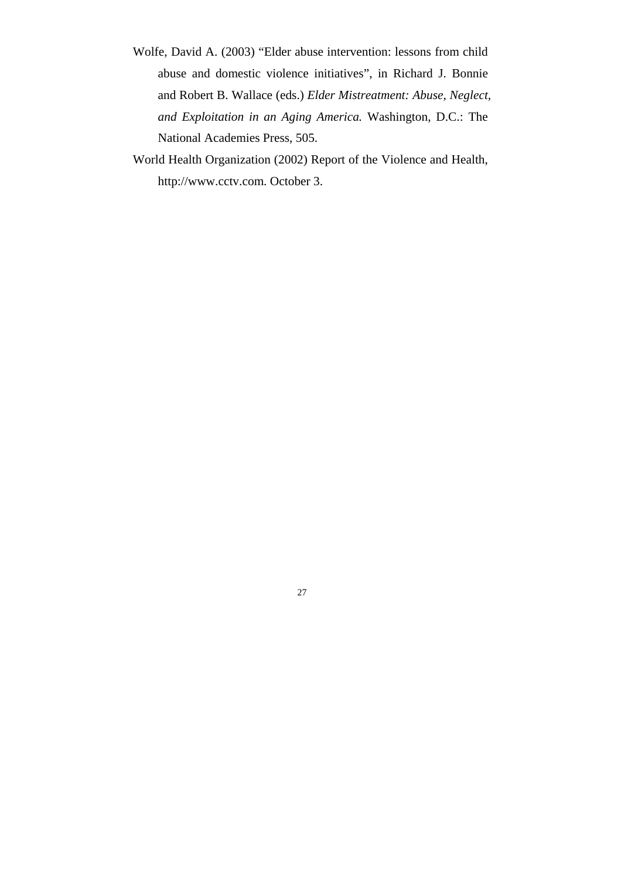- Wolfe, David A. (2003) "Elder abuse intervention: lessons from child abuse and domestic violence initiatives", in Richard J. Bonnie and Robert B. Wallace (eds.) *Elder Mistreatment: Abuse, Neglect, and Exploitation in an Aging America.* Washington, D.C.: The National Academies Press, 505.
- World Health Organization (2002) Report of the Violence and Health, http://www.cctv.com. October 3.